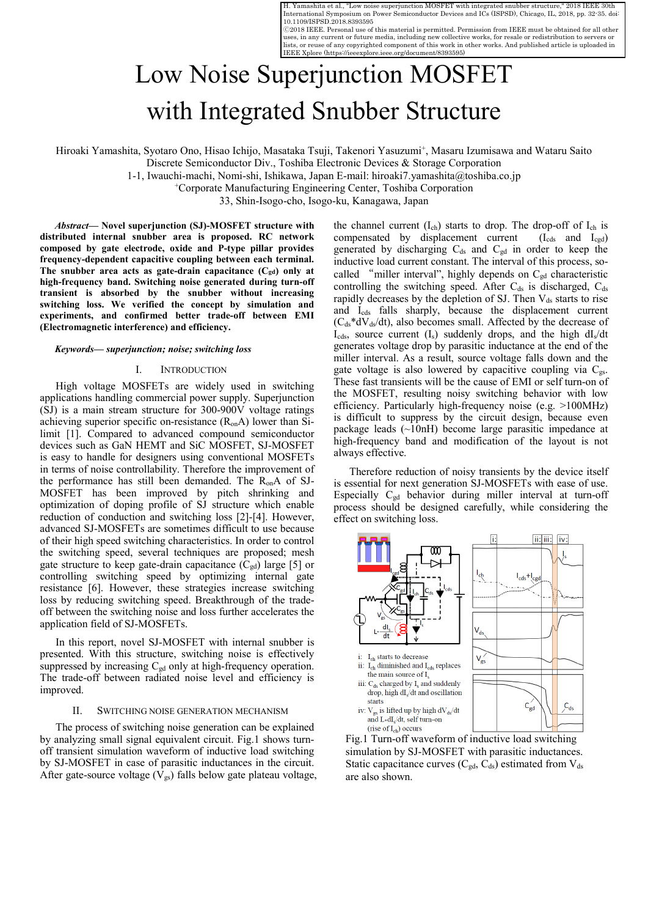H. Yamashita et al., "Low noise superjunction MOSFET with integrated snubber structure International Symposium on Power Semiconductor Devices and ICs (ISPSD), Chicago, IL, 2018, pp. 32-35. doi: 10.1109/ISPSD.2018.8393595

Ⓒ2018 IEEE. Personal use of this material is permitted. Permission from IEEE must be obtained for all other uses, in any current or future media, including new collective works, for resale or redistribution to servers or lists, or reuse of any copyrighted component of this work in other works. And published article is uploaded in IEEE Xplore (<https://ieeexplore.ieee.org/document/8393595>)

# Low Noise Superjunction MOSFET with Integrated Snubber Structure

Hiroaki Yamashita, Syotaro Ono, Hisao Ichijo, Masataka Tsuji, Takenori Yasuzumi+, Masaru Izumisawa and Wataru Saito

Discrete Semiconductor Div., Toshiba Electronic Devices & Storage Corporation

1-1, Iwauchi-machi, Nomi-shi, Ishikawa, Japan E-mail: hiroaki7.yamashita@toshiba.co.jp

+Corporate Manufacturing Engineering Center, Toshiba Corporation

33, Shin-Isogo-cho, Isogo-ku, Kanagawa, Japan

*Abstract***— Novel superjunction (SJ)-MOSFET structure with distributed internal snubber area is proposed. RC network composed by gate electrode, oxide and P-type pillar provides frequency-dependent capacitive coupling between each terminal.**  The snubber area acts as gate-drain capacitance (C<sub>gd</sub>) only at **high-frequency band. Switching noise generated during turn-off transient is absorbed by the snubber without increasing switching loss. We verified the concept by simulation and experiments, and confirmed better trade-off between EMI (Electromagnetic interference) and efficiency.** 

#### *Keywords— superjunction; noise; switching loss*

# I. INTRODUCTION

High voltage MOSFETs are widely used in switching applications handling commercial power supply. Superjunction  $(SJ)$  is a main stream structure for 300-900V voltage ratings achieving superior specific on-resistance (RonA) lower than Silimit [1]. Compared to advanced compound semiconductor devices such as GaN HEMT and SiC MOSFET, SJ-MOSFET is easy to handle for designers using conventional MOSFETs in terms of noise controllability. Therefore the improvement of the performance has still been demanded. The RonA of SJ-MOSFET has been improved by pitch shrinking and optimization of doping profile of SJ structure which enable reduction of conduction and switching loss [2]-[4]. However, advanced SJ-MOSFETs are sometimes difficult to use because of their high speed switching characteristics. In order to control the switching speed, several techniques are proposed; mesh gate structure to keep gate-drain capacitance  $(C_{gd})$  large [5] or controlling switching speed by optimizing internal gate resistance [6]. However, these strategies increase switching loss by reducing switching speed. Breakthrough of the tradeoff between the switching noise and loss further accelerates the application field of SJ-MOSFETs.

In this report, novel SJ-MOSFET with internal snubber is presented. With this structure, switching noise is effectively suppressed by increasing  $C_{gd}$  only at high-frequency operation. The trade-off between radiated noise level and efficiency is improved.

#### II. SWITCHING NOISE GENERATION MECHANISM

The process of switching noise generation can be explained by analyzing small signal equivalent circuit. Fig.1 shows turnoff transient simulation waveform of inductive load switching by SJ-MOSFET in case of parasitic inductances in the circuit. After gate-source voltage  $(\overline{V}_{gs})$  falls below gate plateau voltage,

the channel current  $(I_{ch})$  starts to drop. The drop-off of  $I_{ch}$  is compensated by displacement current  $(I_{\text{cds}}$  and  $I_{\text{ced}})$ generated by discharging  $C_{ds}$  and  $C_{gd}$  in order to keep the inductive load current constant. The interval of this process, socalled "miller interval", highly depends on  $C_{gd}$  characteristic controlling the switching speed. After  $C_{ds}$  is discharged,  $C_{ds}$ rapidly decreases by the depletion of SJ. Then  $V_{ds}$  starts to rise and Icds falls sharply, because the displacement current  $(C_{ds} * dV_{ds}/dt)$ , also becomes small. Affected by the decrease of  $I_{\text{cds}}$ , source current  $(I_s)$  suddenly drops, and the high dI<sub>s</sub>/dt generates voltage drop by parasitic inductance at the end of the miller interval. As a result, source voltage falls down and the gate voltage is also lowered by capacitive coupling via  $C_{gs}$ . These fast transients will be the cause of EMI or self turn-on of the MOSFET, resulting noisy switching behavior with low efficiency. Particularly high-frequency noise (e.g. >100MHz) is difficult to suppress by the circuit design, because even package leads (~10nH) become large parasitic impedance at high-frequency band and modification of the layout is not always effective.

 Therefore reduction of noisy transients by the device itself is essential for next generation SJ-MOSFETs with ease of use. Especially Cgd behavior during miller interval at turn-off process should be designed carefully, while considering the effect on switching loss.



simulation by SJ-MOSFET with parasitic inductances. Static capacitance curves  $(C_{gd}, C_{ds})$  estimated from  $V_{ds}$ are also shown.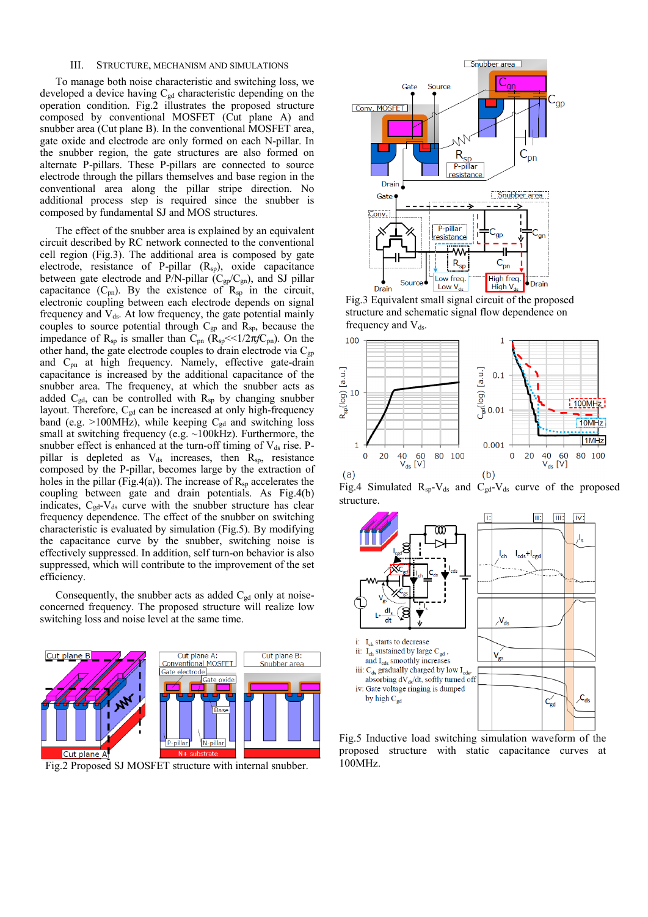# III. STRUCTURE, MECHANISM AND SIMULATIONS

To manage both noise characteristic and switching loss, we developed a device having  $C_{gd}$  characteristic depending on the operation condition. Fig.2 illustrates the proposed structure composed by conventional MOSFET (Cut plane A) and snubber area (Cut plane B). In the conventional MOSFET area, gate oxide and electrode are only formed on each N-pillar. In the snubber region, the gate structures are also formed on alternate P-pillars. These P-pillars are connected to source electrode through the pillars themselves and base region in the conventional area along the pillar stripe direction. No additional process step is required since the snubber is composed by fundamental SJ and MOS structures.

 The effect of the snubber area is explained by an equivalent circuit described by RC network connected to the conventional cell region (Fig.3). The additional area is composed by gate electrode, resistance of P-pillar (R<sub>sp</sub>), oxide capacitance between gate electrode and P/N-pillar ( $C_{gp}/C_{gn}$ ), and SJ pillar capacitance  $(C_{pn})$ . By the existence of  $R_{sp}$  in the circuit, electronic coupling between each electrode depends on signal frequency and  $V_{ds}$ . At low frequency, the gate potential mainly couples to source potential through  $C_{gp}$  and  $R_{sp}$ , because the impedance of  $R_{sp}$  is smaller than  $C_{pn}$  ( $R_{sp} \le 1/2\pi f C_{pn}$ ). On the other hand, the gate electrode couples to drain electrode via  $C_{gp}$ and Cpn at high frequency. Namely, effective gate-drain capacitance is increased by the additional capacitance of the snubber area. The frequency, at which the snubber acts as added  $C_{gd}$ , can be controlled with  $R_{sp}$  by changing snubber layout. Therefore,  $C_{gd}$  can be increased at only high-frequency band (e.g.  $>100$ MHz), while keeping C<sub>gd</sub> and switching loss small at switching frequency (e.g. ~100kHz). Furthermore, the snubber effect is enhanced at the turn-off timing of  $V_{ds}$  rise. Ppillar is depleted as V<sub>ds</sub> increases, then R<sub>sp</sub>, resistance composed by the P-pillar, becomes large by the extraction of holes in the pillar (Fig.4(a)). The increase of  $R_{sp}$  accelerates the coupling between gate and drain potentials. As Fig.4(b) indicates,  $C_{gd}$ - $V_{ds}$  curve with the snubber structure has clear frequency dependence. The effect of the snubber on switching characteristic is evaluated by simulation (Fig.5). By modifying the capacitance curve by the snubber, switching noise is effectively suppressed. In addition, self turn-on behavior is also suppressed, which will contribute to the improvement of the set efficiency.

Consequently, the snubber acts as added  $C_{gd}$  only at noiseconcerned frequency. The proposed structure will realize low switching loss and noise level at the same time.



Fig.2 Proposed SJ MOSFET structure with internal snubber.



 Fig.3 Equivalent small signal circuit of the proposed structure and schematic signal flow dependence on frequency and  $V_{ds}$ .



Fig.4 Simulated  $R_{sp}-V_{ds}$  and  $C_{gd}-V_{ds}$  curve of the proposed structure



Fig.5 Inductive load switching simulation waveform of the proposed structure with static capacitance curves at 100MHz.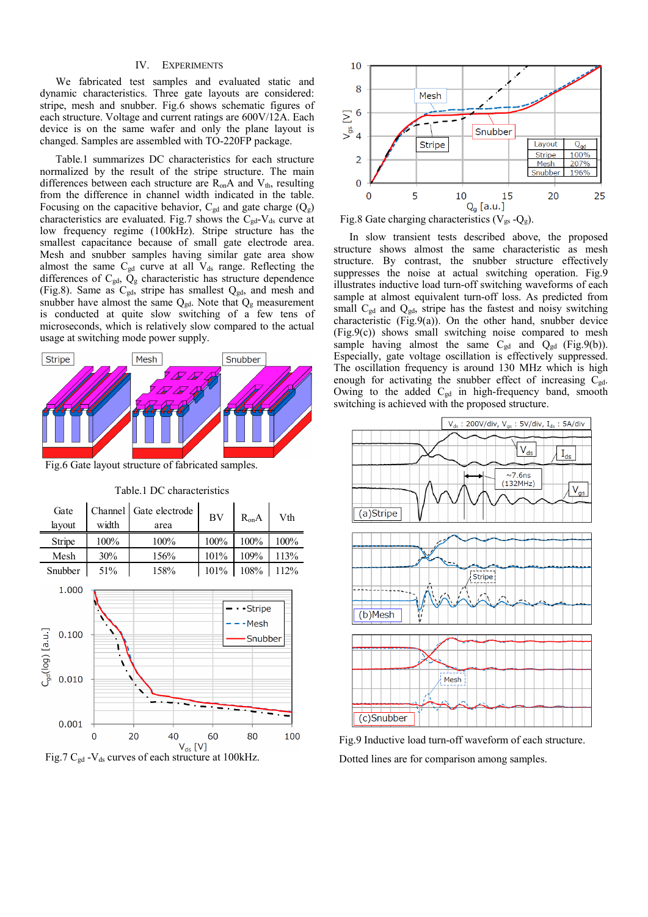# IV. EXPERIMENTS

We fabricated test samples and evaluated static and dynamic characteristics. Three gate layouts are considered: stripe, mesh and snubber. Fig.6 shows schematic figures of each structure. Voltage and current ratings are 600V/12A. Each device is on the same wafer and only the plane layout is changed. Samples are assembled with TO-220FP package.

Table.1 summarizes DC characteristics for each structure normalized by the result of the stripe structure. The main differences between each structure are  $R_{on}A$  and  $V_{th}$ , resulting from the difference in channel width indicated in the table. Focusing on the capacitive behavior,  $C_{gd}$  and gate charge  $(Q_g)$ characteristics are evaluated. Fig.7 shows the  $C_{gd}$ -V<sub>ds</sub> curve at low frequency regime (100kHz). Stripe structure has the smallest capacitance because of small gate electrode area. Mesh and snubber samples having similar gate area show almost the same  $C_{gd}$  curve at all  $V_{ds}$  range. Reflecting the differences of Cgd, Qg characteristic has structure dependence (Fig.8). Same as  $C_{gd}$ , stripe has smallest  $Q_{gd}$ , and mesh and snubber have almost the same  $Q_{gd}$ . Note that  $Q_g$  measurement is conducted at quite slow switching of a few tens of microseconds, which is relatively slow compared to the actual usage at switching mode power supply.



Fig.6 Gate layout structure of fabricated samples.



Table.1 DC characteristics







 In slow transient tests described above, the proposed structure shows almost the same characteristic as mesh structure. By contrast, the snubber structure effectively suppresses the noise at actual switching operation. Fig.9 illustrates inductive load turn-off switching waveforms of each sample at almost equivalent turn-off loss. As predicted from small  $C_{gd}$  and  $Q_{gd}$ , stripe has the fastest and noisy switching characteristic (Fig.9(a)). On the other hand, snubber device  $(Fig.9(c))$  shows small switching noise compared to mesh sample having almost the same  $C_{gd}$  and  $Q_{gd}$  (Fig.9(b)). Especially, gate voltage oscillation is effectively suppressed. The oscillation frequency is around 130 MHz which is high enough for activating the snubber effect of increasing  $C_{gd}$ . Owing to the added C<sub>gd</sub> in high-frequency band, smooth switching is achieved with the proposed structure.



Fig.9 Inductive load turn-off waveform of each structure. Dotted lines are for comparison among samples.